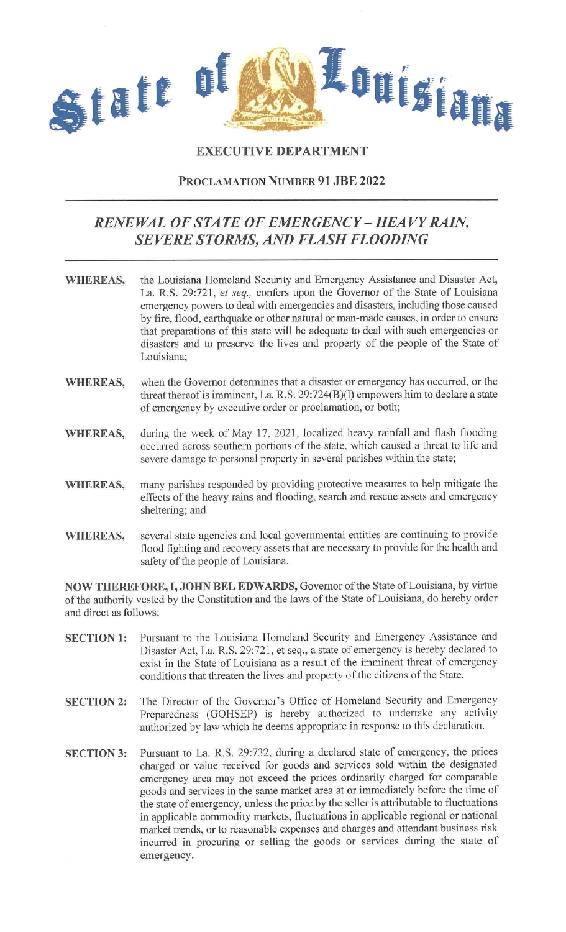

## **EXECUTIVE DEPARTMENT**

## **PROCLAMATION NUMBER 91 JBE 2022**

## *RENEWAL OF STATE OF EMERGENCY* **-** *HEAVY RAIN, SEVERE STORMS, AND FLASH FLOODING*

- **WHEREAS,** the Louisiana Homeland Security and Emergency Assistance and Disaster Act, La. R.S. 29:721, *et seq.,* confers upon the Governor of the State of Louisiana emergency powers to deal with emergencies and disasters, including those caused by fire, flood, earthquake or other natural or man-made causes, in order to ensure that preparations of this state will be adequate to deal with such emergencies or disasters and to preserve the lives and property of the people of the State of Louisiana;
- **WHEREAS,** when the Governor determines that a disaster or emergency has occurred, or the threat thereof is imminent, La. R.S. 29:724(B)(l) empowers him to declare a state of emergency by executive order or proclamation, or both;
- **WHEREAS,** during the week of May 17, 2021, localized heavy rainfall and flash flooding occurred across southern portions of the state, which caused a threat to life and severe damage to personal property in several parishes within the state;
- **WHEREAS,** many parishes responded by providing protective measures to help mitigate the effects of the heavy rains and flooding, search and rescue assets and emergency sheltering; and
- **WHEREAS,** several state agencies and local governmental entities are continuing to provide flood fighting and recovery assets that are necessary to provide for the health and safety of the people of Louisiana.

**NOW THEREFORE, I, JOHN BEL EDWARDS,** Governor of the State of Louisiana, by virtue of the authority vested by the Constitution and the laws of the State of Louisiana, do hereby order and direct as follows:

- **SECTION 1:** Pursuant to the Louisiana Homeland Security and Emergency Assistance and Disaster Act, La. R.S. 29:721, et seq., a state of emergency is hereby declared to exist in the State of Louisiana as a result of the imminent threat of emergency conditions that threaten the lives and property of the citizens of the State.
- **SECTION 2:** The Director of the Governor's Office of Homeland Security and Emergency Preparedness (GOHSEP) is hereby authorized to undertake any activity authorized by law which he deems appropriate in response to this declaration.
- **SECTION 3:** Pursuant to La. R.S. 29:732, during a declared state of emergency, the prices charged or value received for goods and services sold within the designated emergency area may not exceed the prices ordinarily charged for comparable goods and services in the same market area at or immediately before the time of the state of emergency, unless the price by the seller is attributable to fluctuations in applicable commodity markets, fluctuations in applicable regional or national market trends, or to reasonable expenses and charges and attendant business risk incurred in procuring or selling the goods or services during the state of emergency.